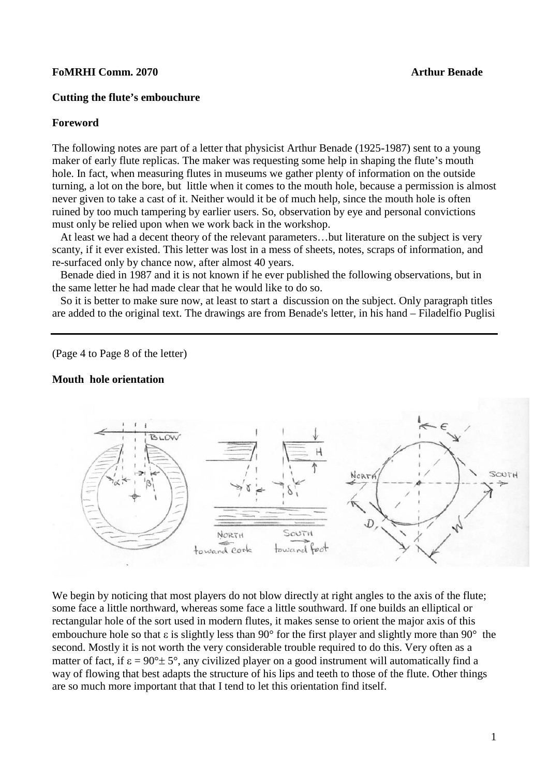## **FoMRHI Comm. 2070 Arthur Benade**

## **Cutting the flute's embouchure**

#### **Foreword**

The following notes are part of a letter that physicist Arthur Benade (1925-1987) sent to a young maker of early flute replicas. The maker was requesting some help in shaping the flute's mouth hole. In fact, when measuring flutes in museums we gather plenty of information on the outside turning, a lot on the bore, but little when it comes to the mouth hole, because a permission is almost never given to take a cast of it. Neither would it be of much help, since the mouth hole is often ruined by too much tampering by earlier users. So, observation by eye and personal convictions must only be relied upon when we work back in the workshop.

 At least we had a decent theory of the relevant parameters…but literature on the subject is very scanty, if it ever existed. This letter was lost in a mess of sheets, notes, scraps of information, and re-surfaced only by chance now, after almost 40 years.

 Benade died in 1987 and it is not known if he ever published the following observations, but in the same letter he had made clear that he would like to do so.

 So it is better to make sure now, at least to start a discussion on the subject. Only paragraph titles are added to the original text. The drawings are from Benade's letter, in his hand – Filadelfio Puglisi

(Page 4 to Page 8 of the letter)

## **Mouth hole orientation**



We begin by noticing that most players do not blow directly at right angles to the axis of the flute; some face a little northward, whereas some face a little southward. If one builds an elliptical or rectangular hole of the sort used in modern flutes, it makes sense to orient the major axis of this embouchure hole so that ε is slightly less than 90° for the first player and slightly more than 90° the second. Mostly it is not worth the very considerable trouble required to do this. Very often as a matter of fact, if  $\varepsilon = 90^\circ \pm 5^\circ$ , any civilized player on a good instrument will automatically find a way of flowing that best adapts the structure of his lips and teeth to those of the flute. Other things are so much more important that that I tend to let this orientation find itself.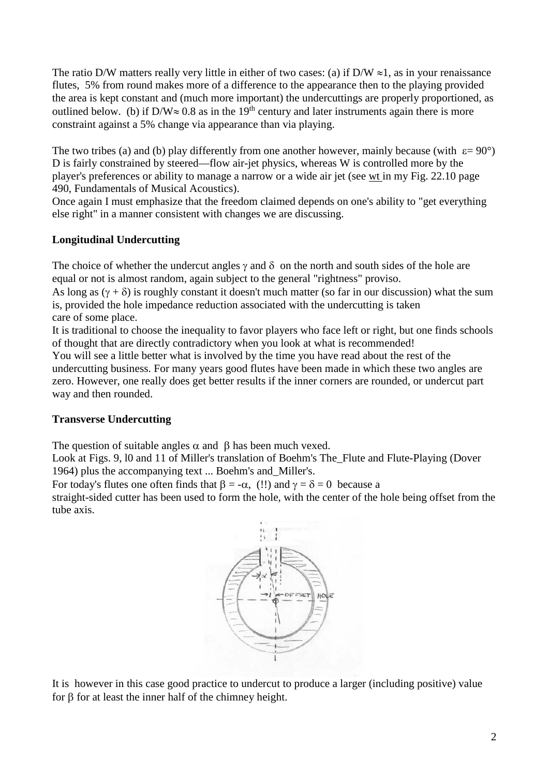The ratio D/W matters really very little in either of two cases: (a) if D/W  $\approx$ 1, as in your renaissance flutes, 5% from round makes more of a difference to the appearance then to the playing provided the area is kept constant and (much more important) the undercuttings are properly proportioned, as outlined below. (b) if D/W≈ 0.8 as in the 19<sup>th</sup> century and later instruments again there is more constraint against a 5% change via appearance than via playing.

The two tribes (a) and (b) play differently from one another however, mainly because (with  $\varepsilon = 90^{\circ}$ ) D is fairly constrained by steered—flow air-jet physics, whereas W is controlled more by the player's preferences or ability to manage a narrow or a wide air jet (see wt in my Fig. 22.10 page 490, Fundamentals of Musical Acoustics).

Once again I must emphasize that the freedom claimed depends on one's ability to "get everything else right" in a manner consistent with changes we are discussing.

# **Longitudinal Undercutting**

The choice of whether the undercut angles  $\gamma$  and  $\delta$  on the north and south sides of the hole are equal or not is almost random, again subject to the general "rightness" proviso.

As long as  $(γ + δ)$  is roughly constant it doesn't much matter (so far in our discussion) what the sum is, provided the hole impedance reduction associated with the undercutting is taken care of some place.

It is traditional to choose the inequality to favor players who face left or right, but one finds schools of thought that are directly contradictory when you look at what is recommended!

You will see a little better what is involved by the time you have read about the rest of the undercutting business. For many years good flutes have been made in which these two angles are zero. However, one really does get better results if the inner corners are rounded, or undercut part way and then rounded.

# **Transverse Undercutting**

The question of suitable angles  $\alpha$  and  $\beta$  has been much vexed.

Look at Figs. 9, l0 and 11 of Miller's translation of Boehm's The\_Flute and Flute-Playing (Dover 1964) plus the accompanying text ... Boehm's and\_Miller's.

For today's flutes one often finds that  $\beta = -\alpha$ , (!!) and  $\gamma = \delta = 0$  because a

straight-sided cutter has been used to form the hole, with the center of the hole being offset from the tube axis.



It is however in this case good practice to undercut to produce a larger (including positive) value for β for at least the inner half of the chimney height.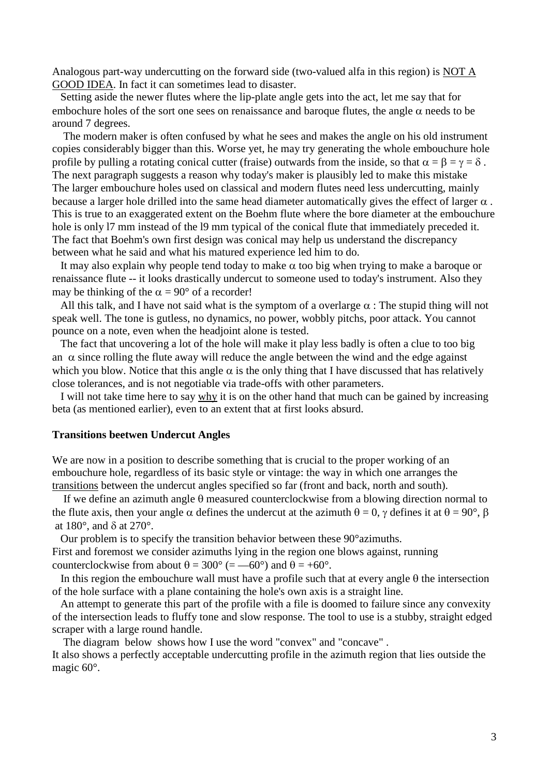Analogous part-way undercutting on the forward side (two-valued alfa in this region) is NOT A GOOD IDEA. In fact it can sometimes lead to disaster.

 Setting aside the newer flutes where the lip-plate angle gets into the act, let me say that for embochure holes of the sort one sees on renaissance and baroque flutes, the angle  $\alpha$  needs to be around 7 degrees.

 The modern maker is often confused by what he sees and makes the angle on his old instrument copies considerably bigger than this. Worse yet, he may try generating the whole embouchure hole profile by pulling a rotating conical cutter (fraise) outwards from the inside, so that  $\alpha = \beta = \gamma = \delta$ . The next paragraph suggests a reason why today's maker is plausibly led to make this mistake The larger embouchure holes used on classical and modern flutes need less undercutting, mainly because a larger hole drilled into the same head diameter automatically gives the effect of larger  $\alpha$ . This is true to an exaggerated extent on the Boehm flute where the bore diameter at the embouchure hole is only l7 mm instead of the l9 mm typical of the conical flute that immediately preceded it. The fact that Boehm's own first design was conical may help us understand the discrepancy between what he said and what his matured experience led him to do.

It may also explain why people tend today to make  $\alpha$  too big when trying to make a baroque or renaissance flute -- it looks drastically undercut to someone used to today's instrument. Also they may be thinking of the  $\alpha = 90^{\circ}$  of a recorder!

All this talk, and I have not said what is the symptom of a overlarge  $\alpha$  : The stupid thing will not speak well. The tone is gutless, no dynamics, no power, wobbly pitchs, poor attack. You cannot pounce on a note, even when the headjoint alone is tested.

 The fact that uncovering a lot of the hole will make it play less badly is often a clue to too big an  $\alpha$  since rolling the flute away will reduce the angle between the wind and the edge against which you blow. Notice that this angle  $\alpha$  is the only thing that I have discussed that has relatively close tolerances, and is not negotiable via trade-offs with other parameters.

 I will not take time here to say why it is on the other hand that much can be gained by increasing beta (as mentioned earlier), even to an extent that at first looks absurd.

### **Transitions beetwen Undercut Angles**

We are now in a position to describe something that is crucial to the proper working of an embouchure hole, regardless of its basic style or vintage: the way in which one arranges the transitions between the undercut angles specified so far (front and back, north and south).

If we define an azimuth angle  $\theta$  measured counterclockwise from a blowing direction normal to the flute axis, then your angle  $\alpha$  defines the undercut at the azimuth  $\theta = 0$ ,  $\gamma$  defines it at  $\theta = 90^{\circ}$ ,  $\beta$ at 180°, and δ at 270°.

 Our problem is to specify the transition behavior between these 90°azimuths. First and foremost we consider azimuths lying in the region one blows against, running counterclockwise from about  $\theta = 300^{\circ}$  (= -60°) and  $\theta = +60^{\circ}$ .

In this region the embouchure wall must have a profile such that at every angle  $\theta$  the intersection of the hole surface with a plane containing the hole's own axis is a straight line.

 An attempt to generate this part of the profile with a file is doomed to failure since any convexity of the intersection leads to fluffy tone and slow response. The tool to use is a stubby, straight edged scraper with a large round handle.

The diagram below shows how I use the word "convex" and "concave" .

It also shows a perfectly acceptable undercutting profile in the azimuth region that lies outside the magic 60°.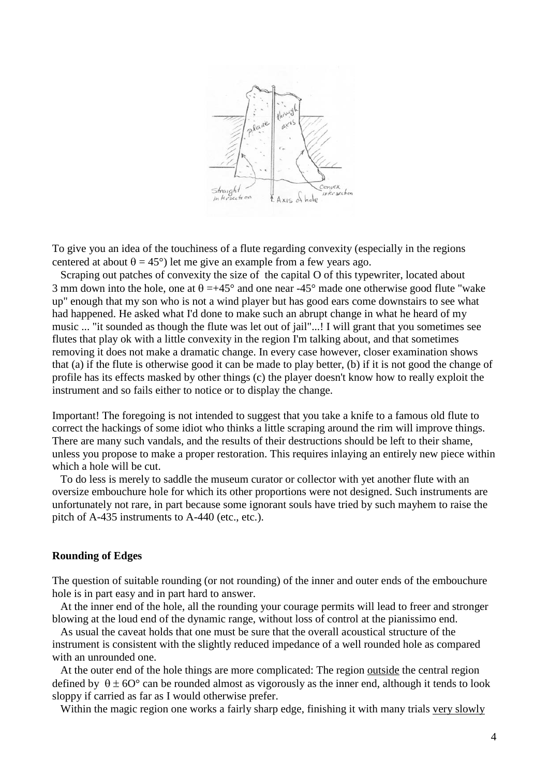

To give you an idea of the touchiness of a flute regarding convexity (especially in the regions centered at about  $\theta = 45^{\circ}$ ) let me give an example from a few years ago.

 Scraping out patches of convexity the size of the capital O of this typewriter, located about 3 mm down into the hole, one at  $\theta = +45^{\circ}$  and one near -45° made one otherwise good flute "wake" up" enough that my son who is not a wind player but has good ears come downstairs to see what had happened. He asked what I'd done to make such an abrupt change in what he heard of my music ... "it sounded as though the flute was let out of jail"...! I will grant that you sometimes see flutes that play ok with a little convexity in the region I'm talking about, and that sometimes removing it does not make a dramatic change. In every case however, closer examination shows that (a) if the flute is otherwise good it can be made to play better, (b) if it is not good the change of profile has its effects masked by other things (c) the player doesn't know how to really exploit the instrument and so fails either to notice or to display the change.

Important! The foregoing is not intended to suggest that you take a knife to a famous old flute to correct the hackings of some idiot who thinks a little scraping around the rim will improve things. There are many such vandals, and the results of their destructions should be left to their shame, unless you propose to make a proper restoration. This requires inlaying an entirely new piece within which a hole will be cut.

 To do less is merely to saddle the museum curator or collector with yet another flute with an oversize embouchure hole for which its other proportions were not designed. Such instruments are unfortunately not rare, in part because some ignorant souls have tried by such mayhem to raise the pitch of A-435 instruments to A-440 (etc., etc.).

### **Rounding of Edges**

The question of suitable rounding (or not rounding) of the inner and outer ends of the embouchure hole is in part easy and in part hard to answer.

 At the inner end of the hole, all the rounding your courage permits will lead to freer and stronger blowing at the loud end of the dynamic range, without loss of control at the pianissimo end.

 As usual the caveat holds that one must be sure that the overall acoustical structure of the instrument is consistent with the slightly reduced impedance of a well rounded hole as compared with an unrounded one.

At the outer end of the hole things are more complicated: The region outside the central region defined by  $\theta \pm 60^{\circ}$  can be rounded almost as vigorously as the inner end, although it tends to look sloppy if carried as far as I would otherwise prefer.

Within the magic region one works a fairly sharp edge, finishing it with many trials very slowly